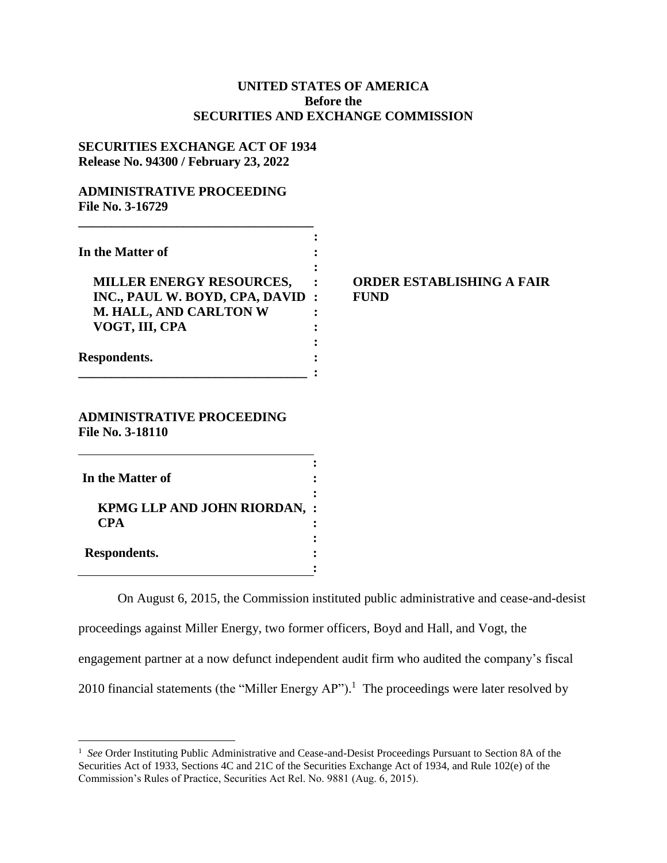# **UNITED STATES OF AMERICA Before the SECURITIES AND EXCHANGE COMMISSION**

### **SECURITIES EXCHANGE ACT OF 1934 Release No. 94300 / February 23, 2022**

**\_\_\_\_\_\_\_\_\_\_\_\_\_\_\_\_\_\_\_\_\_\_\_\_\_\_\_\_\_\_\_\_\_\_\_\_**

### **ADMINISTRATIVE PROCEEDING File No. 3-16729**

| In the Matter of                |         |
|---------------------------------|---------|
|                                 |         |
| <b>MILLER ENERGY RESOURCES,</b> |         |
| INC., PAUL W. BOYD, CPA, DAVID  | $\cdot$ |
| M. HALL, AND CARLTON W          |         |
| VOGT, III, CPA                  |         |
|                                 |         |
| Respondents.                    |         |
|                                 |         |

# **MILLER ENERGY RESOURCES, : ORDER ESTABLISHING A FAIR**   $\bf FUND$

#### **ADMINISTRATIVE PROCEEDING File No. 3-18110**

| In the Matter of                                  |  |
|---------------------------------------------------|--|
| <b>KPMG LLP AND JOHN RIORDAN, :</b><br><b>CPA</b> |  |
| Respondents.                                      |  |

 $\overline{a}$ 

On August 6, 2015, the Commission instituted public administrative and cease-and-desist proceedings against Miller Energy, two former officers, Boyd and Hall, and Vogt, the engagement partner at a now defunct independent audit firm who audited the company's fiscal 2010 financial statements (the "Miller Energy AP").<sup>1</sup> The proceedings were later resolved by

<sup>&</sup>lt;sup>1</sup> See Order Instituting Public Administrative and Cease-and-Desist Proceedings Pursuant to Section 8A of the Securities Act of 1933, Sections 4C and 21C of the Securities Exchange Act of 1934, and Rule 102(e) of the Commission's Rules of Practice, Securities Act Rel. No. 9881 (Aug. 6, 2015).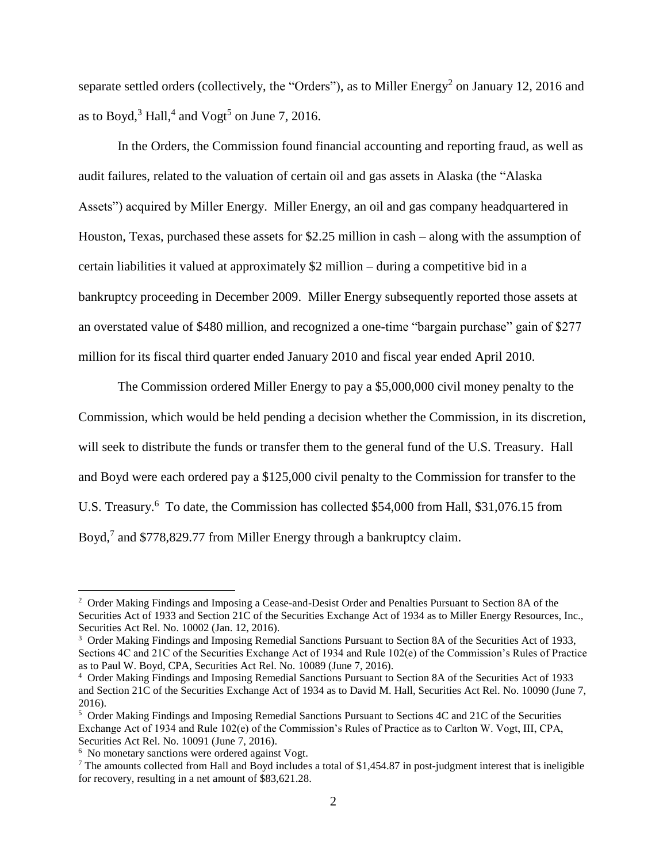separate settled orders (collectively, the "Orders"), as to Miller Energy<sup>2</sup> on January 12, 2016 and as to Boyd, $^3$  Hall, $^4$  and Vogt $^5$  on June 7, 2016.

In the Orders, the Commission found financial accounting and reporting fraud, as well as audit failures, related to the valuation of certain oil and gas assets in Alaska (the "Alaska Assets") acquired by Miller Energy. Miller Energy, an oil and gas company headquartered in Houston, Texas, purchased these assets for \$2.25 million in cash – along with the assumption of certain liabilities it valued at approximately \$2 million – during a competitive bid in a bankruptcy proceeding in December 2009. Miller Energy subsequently reported those assets at an overstated value of \$480 million, and recognized a one-time "bargain purchase" gain of \$277 million for its fiscal third quarter ended January 2010 and fiscal year ended April 2010.

The Commission ordered Miller Energy to pay a \$5,000,000 civil money penalty to the Commission, which would be held pending a decision whether the Commission, in its discretion, will seek to distribute the funds or transfer them to the general fund of the U.S. Treasury. Hall and Boyd were each ordered pay a \$125,000 civil penalty to the Commission for transfer to the U.S. Treasury.<sup>6</sup> To date, the Commission has collected \$54,000 from Hall, \$31,076.15 from Boyd,<sup>7</sup> and \$778,829.77 from Miller Energy through a bankruptcy claim.

 $\overline{a}$ 

<sup>&</sup>lt;sup>2</sup> Order Making Findings and Imposing a Cease-and-Desist Order and Penalties Pursuant to Section 8A of the Securities Act of 1933 and Section 21C of the Securities Exchange Act of 1934 as to Miller Energy Resources, Inc., Securities Act Rel. No. 10002 (Jan. 12, 2016).

<sup>&</sup>lt;sup>3</sup> Order Making Findings and Imposing Remedial Sanctions Pursuant to Section 8A of the Securities Act of 1933, Sections 4C and 21C of the Securities Exchange Act of 1934 and Rule 102(e) of the Commission's Rules of Practice as to Paul W. Boyd, CPA, Securities Act Rel. No. 10089 (June 7, 2016).

<sup>4</sup> Order Making Findings and Imposing Remedial Sanctions Pursuant to Section 8A of the Securities Act of 1933 and Section 21C of the Securities Exchange Act of 1934 as to David M. Hall, Securities Act Rel. No. 10090 (June 7, 2016).

<sup>&</sup>lt;sup>5</sup> Order Making Findings and Imposing Remedial Sanctions Pursuant to Sections 4C and 21C of the Securities Exchange Act of 1934 and Rule 102(e) of the Commission's Rules of Practice as to Carlton W. Vogt, III, CPA, Securities Act Rel. No. 10091 (June 7, 2016).

<sup>&</sup>lt;sup>6</sup> No monetary sanctions were ordered against Vogt.

 $7$  The amounts collected from Hall and Boyd includes a total of \$1,454.87 in post-judgment interest that is ineligible for recovery, resulting in a net amount of \$83,621.28.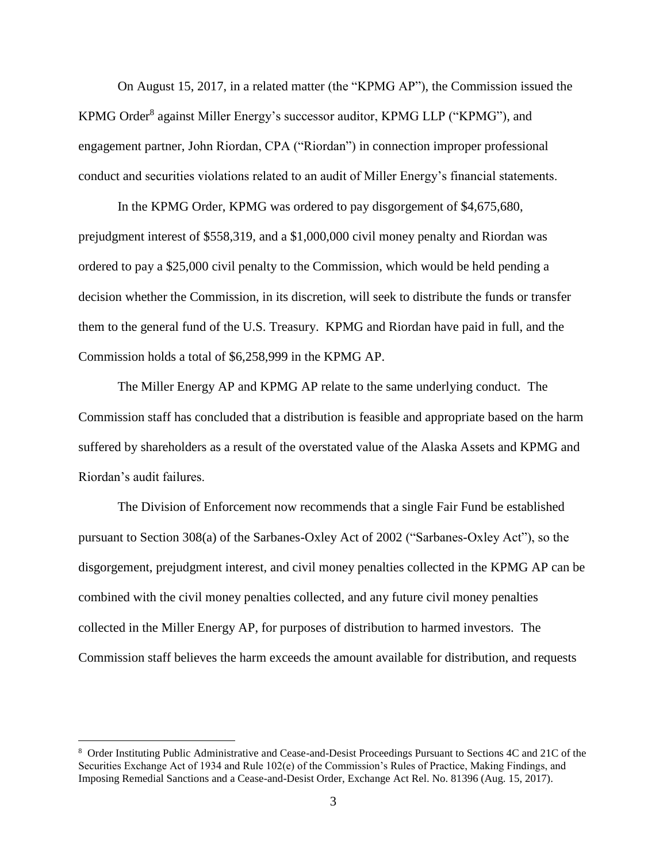On August 15, 2017, in a related matter (the "KPMG AP"), the Commission issued the KPMG Order<sup>8</sup> against Miller Energy's successor auditor, KPMG LLP ("KPMG"), and engagement partner, John Riordan, CPA ("Riordan") in connection improper professional conduct and securities violations related to an audit of Miller Energy's financial statements.

In the KPMG Order, KPMG was ordered to pay disgorgement of \$4,675,680, prejudgment interest of \$558,319, and a \$1,000,000 civil money penalty and Riordan was ordered to pay a \$25,000 civil penalty to the Commission, which would be held pending a decision whether the Commission, in its discretion, will seek to distribute the funds or transfer them to the general fund of the U.S. Treasury. KPMG and Riordan have paid in full, and the Commission holds a total of \$6,258,999 in the KPMG AP.

The Miller Energy AP and KPMG AP relate to the same underlying conduct. The Commission staff has concluded that a distribution is feasible and appropriate based on the harm suffered by shareholders as a result of the overstated value of the Alaska Assets and KPMG and Riordan's audit failures.

The Division of Enforcement now recommends that a single Fair Fund be established pursuant to Section 308(a) of the Sarbanes-Oxley Act of 2002 ("Sarbanes-Oxley Act"), so the disgorgement, prejudgment interest, and civil money penalties collected in the KPMG AP can be combined with the civil money penalties collected, and any future civil money penalties collected in the Miller Energy AP, for purposes of distribution to harmed investors. The Commission staff believes the harm exceeds the amount available for distribution, and requests

 $\overline{a}$ 

<sup>8</sup> Order Instituting Public Administrative and Cease-and-Desist Proceedings Pursuant to Sections 4C and 21C of the Securities Exchange Act of 1934 and Rule 102(e) of the Commission's Rules of Practice, Making Findings, and Imposing Remedial Sanctions and a Cease-and-Desist Order, Exchange Act Rel. No. 81396 (Aug. 15, 2017).